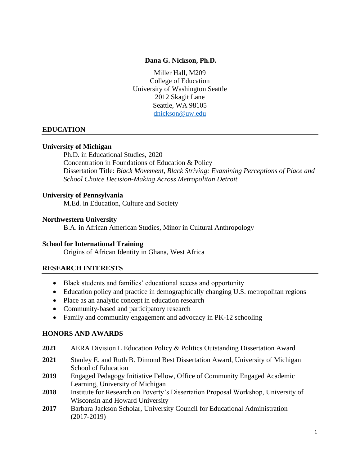#### **Dana G. Nickson, Ph.D.**

Miller Hall, M209 College of Education University of Washington Seattle 2012 Skagit Lane Seattle, WA 98105 [dnickson@uw.edu](mailto:dnickson@uw.edu)

### **EDUCATION**

#### **University of Michigan**

Ph.D. in Educational Studies, 2020 Concentration in Foundations of Education & Policy Dissertation Title: *Black Movement, Black Striving: Examining Perceptions of Place and School Choice Decision-Making Across Metropolitan Detroit*

#### **University of Pennsylvania**

M.Ed. in Education, Culture and Society

#### **Northwestern University**

B.A. in African American Studies, Minor in Cultural Anthropology

#### **School for International Training**

Origins of African Identity in Ghana, West Africa

#### **RESEARCH INTERESTS**

- Black students and families' educational access and opportunity
- Education policy and practice in demographically changing U.S. metropolitan regions
- Place as an analytic concept in education research
- Community-based and participatory research
- Family and community engagement and advocacy in PK-12 schooling

#### **HONORS AND AWARDS**

- **2021** AERA Division L Education Policy & Politics Outstanding Dissertation Award
- **2021** Stanley E. and Ruth B. Dimond Best Dissertation Award, University of Michigan School of Education
- **2019** Engaged Pedagogy Initiative Fellow, Office of Community Engaged Academic Learning, University of Michigan
- **2018** Institute for Research on Poverty's Dissertation Proposal Workshop, University of Wisconsin and Howard University
- **2017** Barbara Jackson Scholar, University Council for Educational Administration (2017-2019)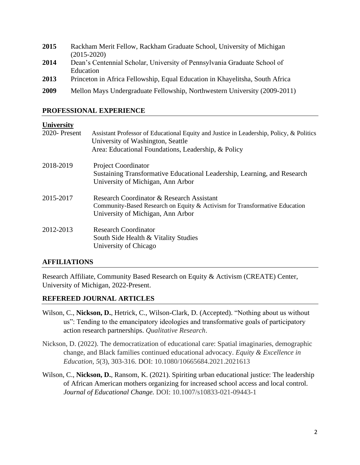| 2015 | Rackham Merit Fellow, Rackham Graduate School, University of Michigan<br>$(2015 - 2020)$ |
|------|------------------------------------------------------------------------------------------|
| 2014 | Dean's Centennial Scholar, University of Pennsylvania Graduate School of<br>Education    |
| 2013 | Princeton in Africa Fellowship, Equal Education in Khayelitsha, South Africa             |
| 2009 | Mellon Mays Undergraduate Fellowship, Northwestern University (2009-2011)                |

## **PROFESSIONAL EXPERIENCE**

### **University**

| <b>UMITURITY</b> |                                                                                                                                                                                     |
|------------------|-------------------------------------------------------------------------------------------------------------------------------------------------------------------------------------|
| 2020-Present     | Assistant Professor of Educational Equity and Justice in Leadership, Policy, & Politics<br>University of Washington, Seattle<br>Area: Educational Foundations, Leadership, & Policy |
| 2018-2019        | <b>Project Coordinator</b><br>Sustaining Transformative Educational Leadership, Learning, and Research<br>University of Michigan, Ann Arbor                                         |
| 2015-2017        | Research Coordinator & Research Assistant<br>Community-Based Research on Equity & Activism for Transformative Education<br>University of Michigan, Ann Arbor                        |
| 2012-2013        | <b>Research Coordinator</b><br>South Side Health & Vitality Studies<br>University of Chicago                                                                                        |

# **AFFILIATIONS**

Research Affiliate, Community Based Research on Equity & Activism (CREATE) Center, University of Michigan, 2022-Present.

## **REFEREED JOURNAL ARTICLES**

- Wilson, C., **Nickson, D.**, Hetrick, C., Wilson-Clark, D. (Accepted). "Nothing about us without us": Tending to the emancipatory ideologies and transformative goals of participatory action research partnerships. *Qualitative Research*.
- Nickson, D. (2022). The democratization of educational care: Spatial imaginaries, demographic change, and Black families continued educational advocacy. *Equity & Excellence in Education, 5*(3), 303-316. DOI: [10.1080/10665684.2021.2021613](https://doi.org/10.1080/10665684.2021.2021613)
- Wilson, C., **Nickson, D.**, Ransom, K. (2021). Spiriting urban educational justice: The leadership of African American mothers organizing for increased school access and local control. *Journal of Educational Change.* DOI: 10.1007/s10833-021-09443-1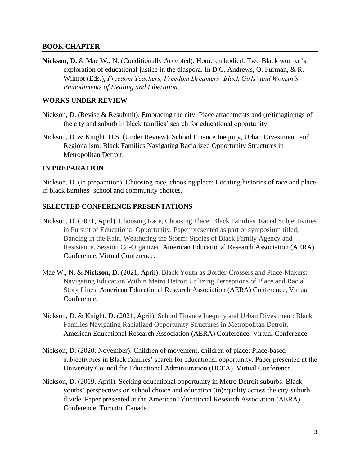### **BOOK CHAPTER**

**Nickson, D.** & Mae W., N. (Conditionally Accepted). Home embodied: Two Black womxn's exploration of educational justice in the diaspora. In D.C. Andrews, O. Furman, & R. Wilmot (Eds.), *Freedom Teachers, Freedom Dreamers: Black Girls' and Womxn's Embodiments of Healing and Liberation*.

#### **WORKS UNDER REVIEW**

- Nickson, D. (Revise & Resubmit). Embracing the city: Place attachments and (re)imaginings of the city and suburb in black families' search for educational opportunity.
- Nickson, D. & Knight, D.S. (Under Review). School Finance Inequity, Urban Divestment, and Regionalism: Black Families Navigating Racialized Opportunity Structures in Metropolitan Detroit.

### **IN PREPARATION**

Nickson, D. (in preparation). Choosing race, choosing place: Locating histories of race and place in black families' school and community choices.

## **SELECTED CONFERENCE PRESENTATIONS**

- Nickson, D. (2021, April). Choosing Race, Choosing Place: Black Families' Racial Subjectivities in Pursuit of Educational Opportunity. Paper presented as part of symposium titled, Dancing in the Rain, Weathering the Storm: Stories of Black Family Agency and Resistance. Session Co-Organizer. American Educational Research Association (AERA) Conference, Virtual Conference.
- Mae W., N. & **Nickson, D.** (2021, April). Black Youth as Border-Crossers and Place-Makers: Navigating Education Within Metro Detroit Utilizing Perceptions of Place and Racial Story Lines. American Educational Research Association (AERA) Conference, Virtual Conference.
- Nickson, D. & Knight, D. (2021, April). School Finance Inequity and Urban Divestment: Black Families Navigating Racialized Opportunity Structures in Metropolitan Detroit. American Educational Research Association (AERA) Conference, Virtual Conference.
- Nickson, D. (2020, November). Children of movement, children of place: Place-based subjectivities in Black families' search for educational opportunity. Paper presented at the University Council for Educational Administration (UCEA), Virtual Conference.
- Nickson, D. (2019, April). Seeking educational opportunity in Metro Detroit suburbs: Black youths' perspectives on school choice and education (in)equality across the city-suburb divide. Paper presented at the American Educational Research Association (AERA) Conference, Toronto, Canada.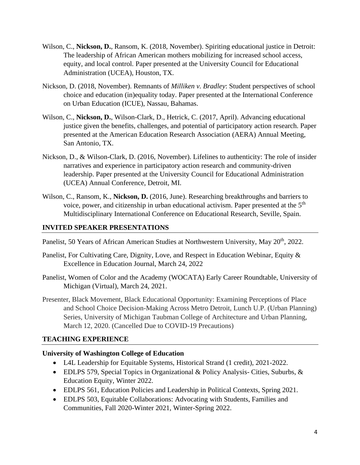- Wilson, C., **Nickson, D.**, Ransom, K. (2018, November). Spiriting educational justice in Detroit: The leadership of African American mothers mobilizing for increased school access, equity, and local control. Paper presented at the University Council for Educational Administration (UCEA), Houston, TX.
- Nickson, D. (2018, November). Remnants of *Milliken v. Bradley*: Student perspectives of school choice and education (in)equality today. Paper presented at the International Conference on Urban Education (ICUE), Nassau, Bahamas.
- Wilson, C., **Nickson, D.**, Wilson-Clark, D., Hetrick, C. (2017, April). Advancing educational justice given the benefits, challenges, and potential of participatory action research. Paper presented at the American Education Research Association (AERA) Annual Meeting, San Antonio, TX.
- Nickson, D., & Wilson-Clark, D. (2016, November). Lifelines to authenticity: The role of insider narratives and experience in participatory action research and community-driven leadership. Paper presented at the University Council for Educational Administration (UCEA) Annual Conference, Detroit, MI.
- Wilson, C., Ransom, K., **Nickson, D.** (2016, June). Researching breakthroughs and barriers to voice, power, and citizenship in urban educational activism. Paper presented at the  $5<sup>th</sup>$ Multidisciplinary International Conference on Educational Research, Seville, Spain.

## **INVITED SPEAKER PRESENTATIONS**

Panelist, 50 Years of African American Studies at Northwestern University, May 20<sup>th</sup>, 2022.

- Panelist, For Cultivating Care, Dignity, Love, and Respect in Education Webinar, Equity & Excellence in Education Journal, March 24, 2022
- Panelist, Women of Color and the Academy (WOCATA) Early Career Roundtable, University of Michigan (Virtual), March 24, 2021.
- Presenter, Black Movement, Black Educational Opportunity: Examining Perceptions of Place and School Choice Decision-Making Across Metro Detroit, Lunch U.P. (Urban Planning) Series, University of Michigan Taubman College of Architecture and Urban Planning, March 12, 2020. (Cancelled Due to COVID-19 Precautions)

# **TEACHING EXPERIENCE**

## **University of Washington College of Education**

- L4L Leadership for Equitable Systems, Historical Strand (1 credit), 2021-2022.
- EDLPS 579, Special Topics in Organizational & Policy Analysis- Cities, Suburbs, & Education Equity, Winter 2022.
- EDLPS 561, Education Policies and Leadership in Political Contexts, Spring 2021.
- EDLPS 503, Equitable Collaborations: Advocating with Students, Families and Communities, Fall 2020-Winter 2021, Winter-Spring 2022.